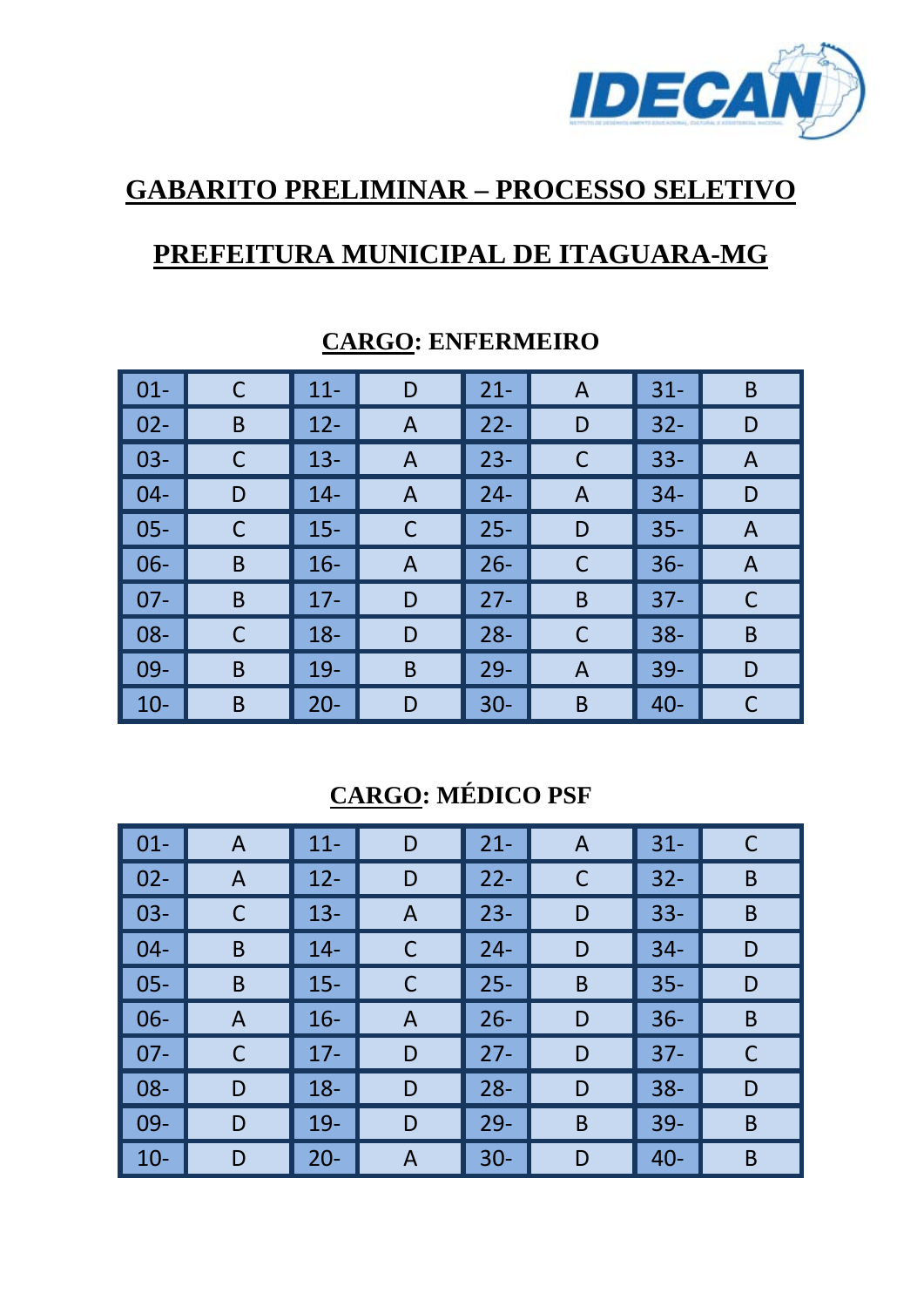

#### **GABARITO PRELIMINAR – PROCESSO SELETIVO**

### **PREFEITURA MUNICIPAL DE ITAGUARA-MG**

| $\vert$ 01-     |   | $11 -$ | D            | $21 -$ | A           | $31 -$ | B |
|-----------------|---|--------|--------------|--------|-------------|--------|---|
| $\vert$ 02-     | B | $12 -$ | $\mathsf{A}$ | $22 -$ | D           | $32 -$ | D |
| $\vert$ 03-     | C | $13 -$ | A            | $23 -$ | C           | $33 -$ | A |
| $\vert$ 04-     | D | $14 -$ | A            | $24 -$ | A           | $34 -$ | D |
| $\parallel$ 05- | C | $15 -$ | $\mathsf C$  | $25 -$ | D           | $35 -$ | A |
| $\vert$ 06-     | B | $16 -$ | A            | $26 -$ | $\mathsf C$ | $36 -$ | A |
| $\vert$ 07-     | B | $17 -$ | D            | $27 -$ | B           | $37 -$ | С |
| $\parallel$ 08- | С | $18 -$ | D            | $28 -$ | C           | $38 -$ | B |
| $\vert$ 09-     | B | $19-$  | B            | $29 -$ | A           | $39 -$ | D |
| $\vert$ 10-     | B | $20 -$ | D            | $30 -$ | B           | $40 -$ | С |

#### **CARGO: ENFERMEIRO**

### **CARGO: MÉDICO PSF**

| $\vert$ 01- | $\mathsf{A}$ | $11 -$ | D | $21 -$ | A | $31 -$ |   |
|-------------|--------------|--------|---|--------|---|--------|---|
| $02 -$      | A            | $12 -$ | D | $22 -$ | C | $32 -$ | B |
| $03 -$      | C            | $13 -$ | A | $23 -$ | D | $33 -$ | B |
| $04 -$      | B            | $14 -$ | C | $24 -$ | D | $34 -$ | D |
| $05 -$      | B            | $15 -$ | C | $25 -$ | B | $35 -$ | D |
| $06 -$      | A            | $16 -$ | A | $26 -$ | D | $36 -$ | B |
| $07 -$      | $\mathsf{C}$ | $17 -$ | D | $27 -$ | D | $37 -$ | C |
| $08 -$      | D            | $18 -$ | D | $28 -$ | D | $38 -$ | D |
| $09 -$      | D            | $19-$  | D | $29 -$ | B | $39 -$ | B |
| $10-$       | D            | $20 -$ | A | $30 -$ | D | $40 -$ | B |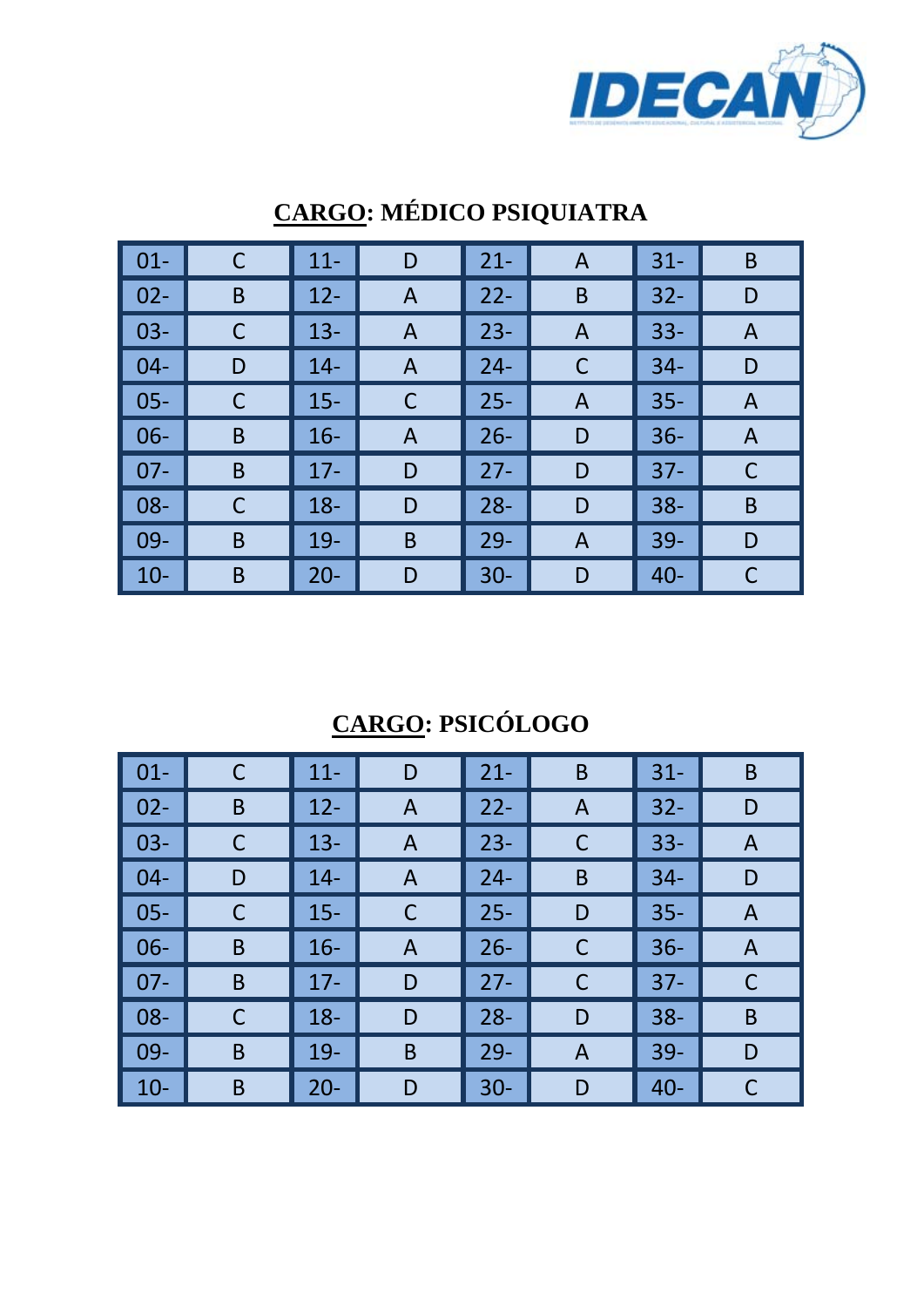

| $\vert$ 01- |   | $11 -$ | D            | $21 -$ | A | $31 -$ | B |
|-------------|---|--------|--------------|--------|---|--------|---|
| $02 -$      | B | $12 -$ | $\mathsf{A}$ | $22 -$ | B | $32 -$ | D |
| $03 -$      | C | $13 -$ | A            | $23 -$ | A | $33 -$ | A |
| $04 -$      | D | $14 -$ | A            | $24 -$ | C | $34 -$ | D |
| $05 -$      | C | $15 -$ | $\mathsf C$  | $25 -$ | A | $35 -$ | A |
| $06 -$      | B | $16 -$ | A            | $26 -$ | D | $36 -$ | A |
| $07 -$      | B | $17 -$ | D            | $27 -$ | D | $37 -$ | C |
| $08 -$      | C | $18 -$ | D            | $28 -$ | D | $38 -$ | B |
| $09 -$      | B | $19-$  | B            | $29 -$ | A | $39 -$ | D |
| $10 -$      | B | $20 -$ | D            | $30 -$ | D | $40 -$ | C |

# **CARGO: MÉDICO PSIQUIATRA**

## **CARGO: PSICÓLOGO**

| $\boxed{01}$    | C | $11 -$ | D           | $21 -$ | B              | $31 -$ | B |
|-----------------|---|--------|-------------|--------|----------------|--------|---|
| $\vert$ 02-     | B | $12 -$ | A           | $22 -$ | $\overline{A}$ | $32 -$ | D |
| $\vert$ 03-     | C | $13 -$ | A           | $23 -$ | C              | $33 -$ | A |
| $\vert$ 04-     | D | $14 -$ | A           | $24 -$ | B              | $34 -$ | D |
| $\parallel$ 05- | C | $15 -$ | $\mathsf C$ | $25 -$ | D              | $35 -$ | A |
| $\vert$ 06-     | B | $16 -$ | A           | $26 -$ | $\mathsf{C}$   | $36 -$ | A |
| $\vert$ 07-     | B | $17 -$ | D           | $27 -$ | C              | $37 -$ | С |
| $\vert$ 08-     | C | $18 -$ | D           | $28 -$ | D              | $38 -$ | B |
| $\vert$ 09-     | B | $19-$  | B           | $29 -$ | A              | $39 -$ | D |
| $\vert$ 10-     | B | $20 -$ | D           | $30 -$ | D              | $40 -$ |   |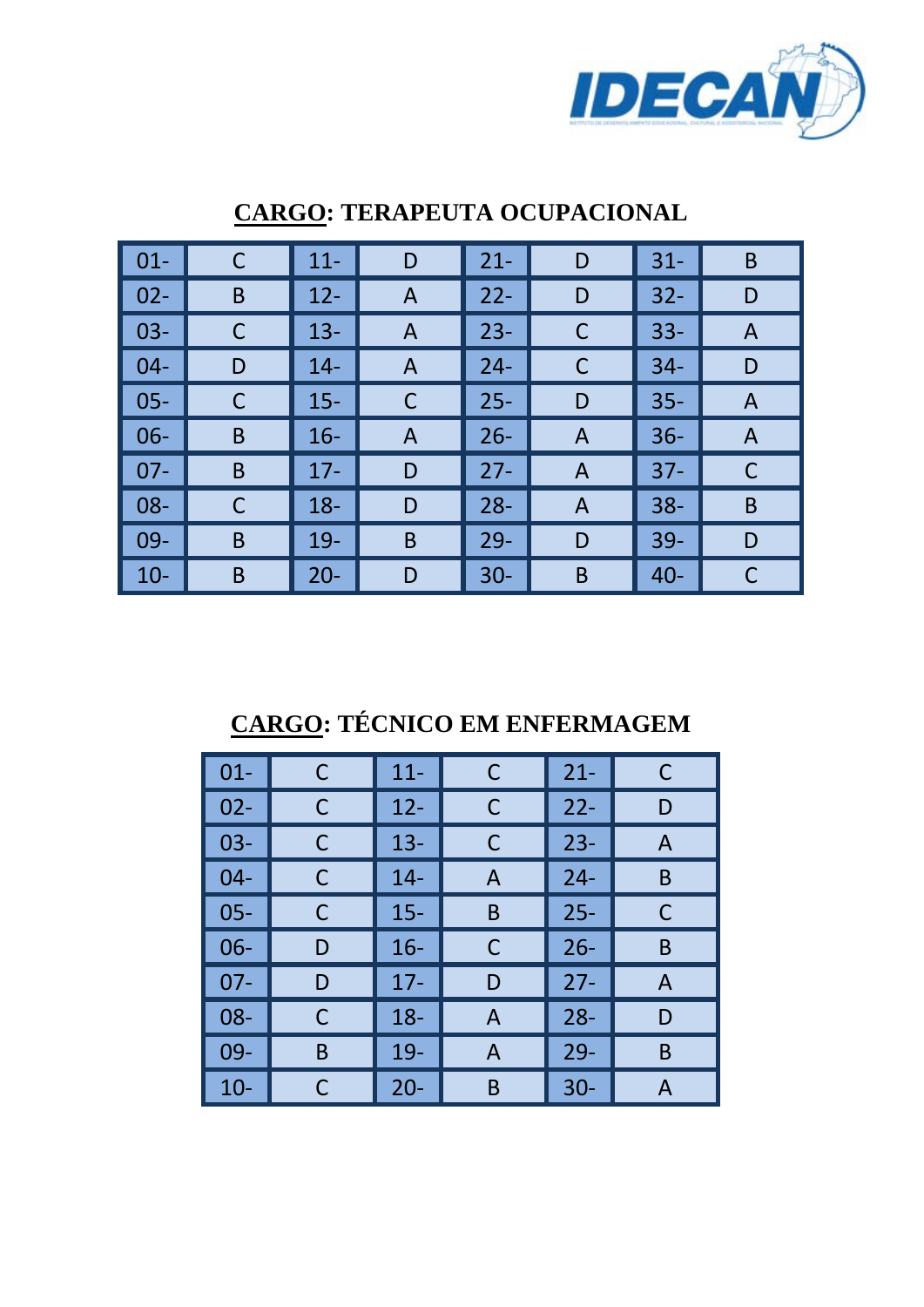

| $01 -$ | C | $11 -$ | D              | $21 -$ | D              | $31 -$ | B |
|--------|---|--------|----------------|--------|----------------|--------|---|
| $02 -$ | B | $12 -$ | A              | $22 -$ | D              | $32 -$ | D |
| $03 -$ | С | $13 -$ | $\overline{A}$ | $23 -$ | C              | $33 -$ | A |
| $04-$  | D | $14 -$ | A              | $24 -$ | C              | $34 -$ | D |
| $05 -$ | C | $15 -$ | C              | $25 -$ | D              | $35 -$ | A |
| $06 -$ | B | $16 -$ | A              | $26 -$ | $\overline{A}$ | $36 -$ | A |
| $07 -$ | B | $17 -$ | D              | $27 -$ | A              | $37 -$ | С |
| $08 -$ | С | $18 -$ | D              | $28 -$ | A              | $38 -$ | B |
| $09-$  | B | $19 -$ | B              | $29 -$ | D              | $39 -$ | D |
| $10 -$ | B | $20 -$ | D              | $30 -$ | B              | $40 -$ |   |

#### **CARGO: TERAPEUTA OCUPACIONAL**

## **CARGO: TÉCNICO EM ENFERMAGEM**

| $01 -$ | C | $11 -$ | C | $21 -$ | C |
|--------|---|--------|---|--------|---|
| $02 -$ | С | $12 -$ | С | $22 -$ | D |
| $03 -$ | С | $13 -$ | С | $23 -$ | A |
| $04 -$ | C | $14 -$ | Α | $24 -$ | B |
| $05 -$ | С | $15 -$ | B | $25 -$ | C |
| $06 -$ | D | $16 -$ | С | $26 -$ | B |
| $07 -$ | D | $17 -$ | D | $27 -$ | A |
| $08 -$ | С | $18 -$ | A | $28 -$ | D |
| 09-    | B | 19-    | A | $29 -$ | B |
| $10-$  | С | $20 -$ | B | $30 -$ | A |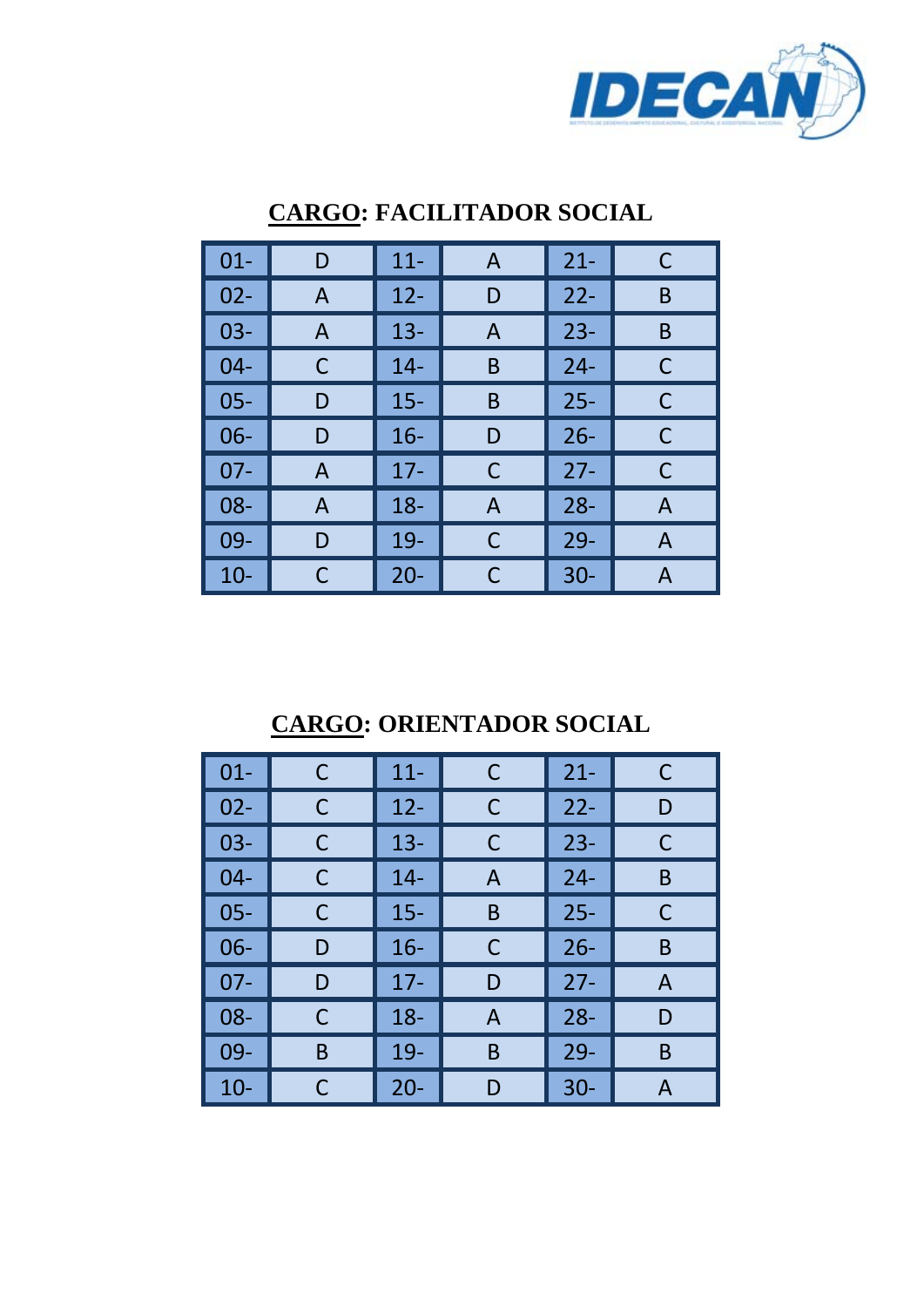

| $01 -$ | D            | $11 -$ | A | $21 -$ | C |
|--------|--------------|--------|---|--------|---|
| $02 -$ | A            | $12 -$ | D | $22 -$ | B |
| $03 -$ | A            | $13 -$ | A | $23 -$ | B |
| $04 -$ | С            | $14 -$ | B | $24 -$ | С |
| $05 -$ | D            | $15 -$ | B | $25 -$ | С |
| $06 -$ | D            | $16 -$ | D | $26 -$ | C |
| $07 -$ | $\mathsf{A}$ | $17 -$ | C | $27 -$ | C |
| 08-    | A            | $18 -$ | A | $28 -$ | A |
| $09 -$ | D            | 19-    | С | $29 -$ | A |
| $10-$  | C            | $20 -$ | C | $30 -$ | А |

#### **CARGO: FACILITADOR SOCIAL**

**CARGO: ORIENTADOR SOCIAL** 

| $01 -$ | C | $11 -$ | С | $21 -$ | C |
|--------|---|--------|---|--------|---|
| $02 -$ | C | $12 -$ | С | $22 -$ | D |
| $03 -$ | С | $13 -$ | С | $23 -$ | С |
| $04 -$ | С | $14 -$ | Α | $24 -$ | B |
| $05 -$ | С | $15 -$ | B | $25 -$ | С |
| $06 -$ | D | $16 -$ | C | $26 -$ | B |
| $07 -$ | D | $17 -$ | D | $27 -$ | A |
| 08-    | С | $18 -$ | A | $28 -$ | D |
| 09-    | Β | 19-    | Β | $29 -$ | B |
| $10 -$ | C | $20 -$ | D | $30 -$ | А |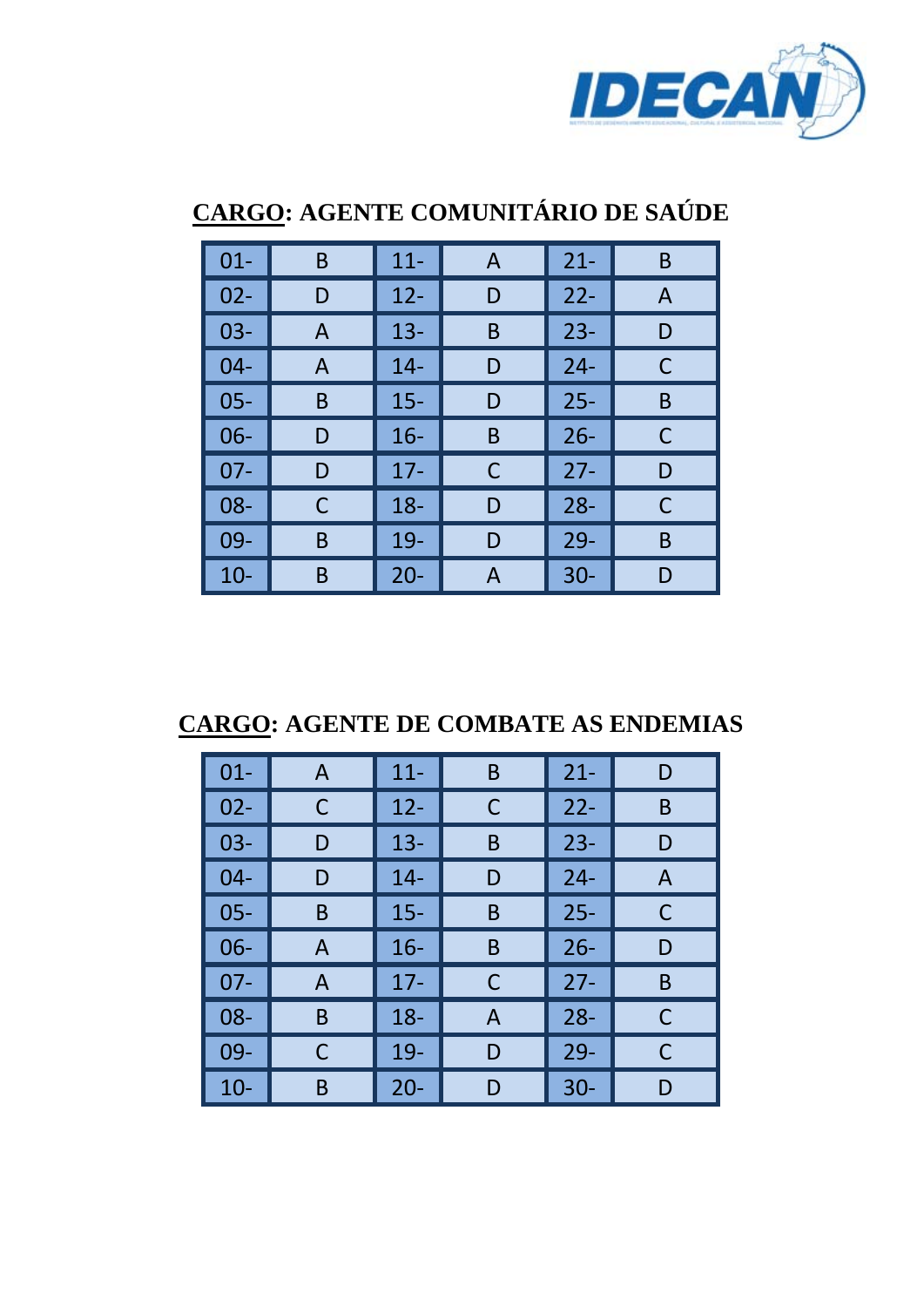

## **CARGO: AGENTE COMUNITÁRIO DE SAÚDE**

| $01 -$ | B | $11 -$ | A | $21 -$ | B |
|--------|---|--------|---|--------|---|
| $02 -$ | D | $12 -$ | D | $22 -$ | A |
| $03 -$ | A | $13 -$ | Β | $23 -$ | D |
| $04 -$ | A | $14 -$ | D | $24 -$ | С |
| $05 -$ | Β | $15 -$ | D | $25 -$ | B |
| $06 -$ | D | $16 -$ | Β | $26 -$ | C |
| $07-$  | D | $17 -$ | C | $27 -$ | D |
| 08-    | С | $18 -$ | D | $28 -$ | C |
| 09-    | Β | 19-    | D | $29 -$ | B |
| $10 -$ | B | $20 -$ | А | $30 -$ | D |

**CARGO: AGENTE DE COMBATE AS ENDEMIAS** 

| $01 -$ | A | $11 -$ | B | $21 -$ | D |
|--------|---|--------|---|--------|---|
| $02 -$ | С | $12 -$ | C | $22 -$ | B |
| $03 -$ | D | $13 -$ | B | $23 -$ | D |
| 04-    | D | $14 -$ | D | $24 -$ | A |
| $05 -$ | Β | $15 -$ | Β | $25 -$ | С |
| $06 -$ | A | $16 -$ | B | $26 -$ | D |
| $07 -$ | A | $17 -$ | C | $27 -$ | B |
| $08 -$ | Β | $18 -$ | A | $28 -$ | С |
| $09 -$ | C | 19-    | D | $29 -$ | С |
| $10 -$ | B | $20 -$ | D | $30 -$ | D |